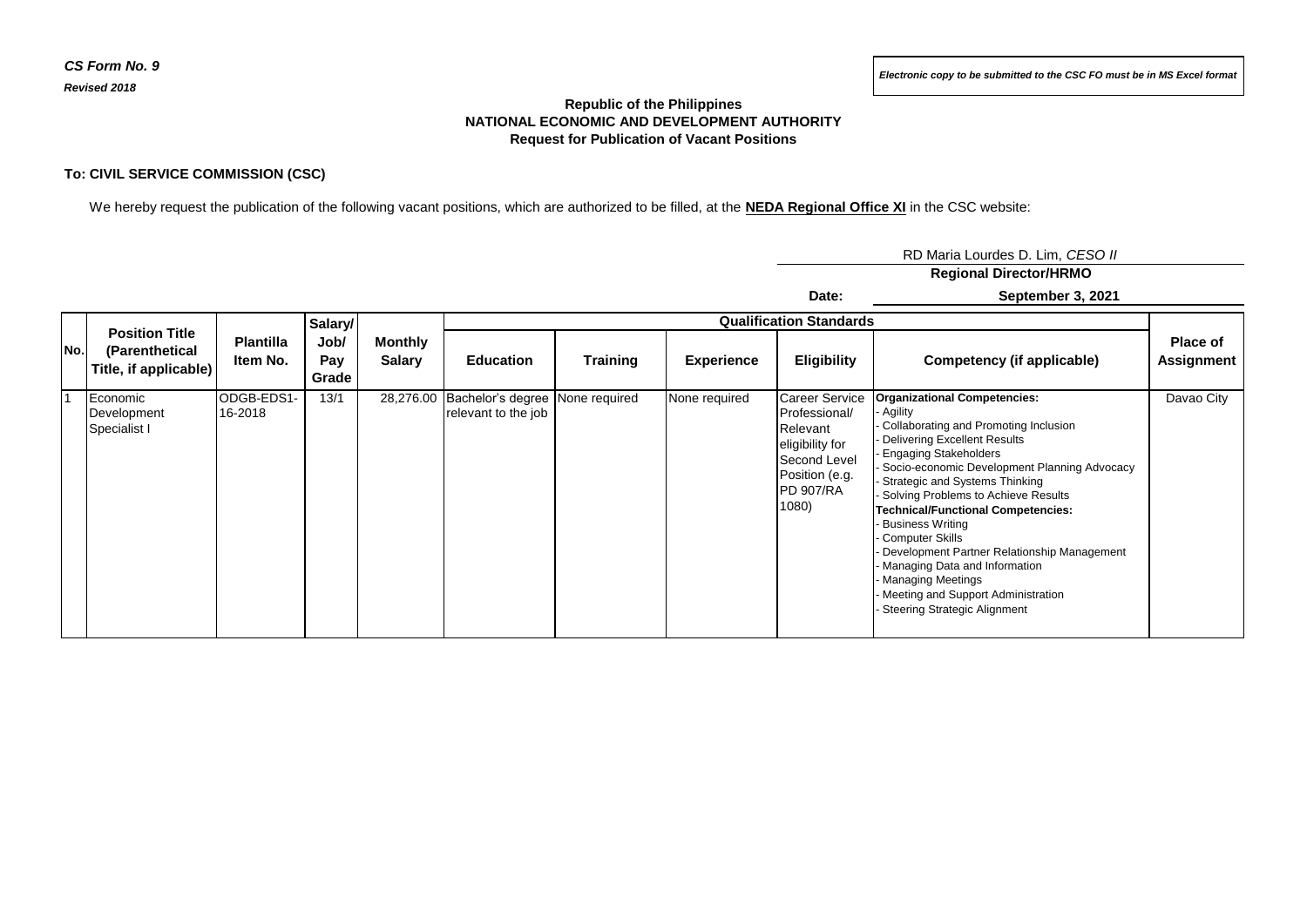## **Republic of the Philippines NATIONAL ECONOMIC AND DEVELOPMENT AUTHORITY Request for Publication of Vacant Positions**

## **To: CIVIL SERVICE COMMISSION (CSC)**

We hereby request the publication of the following vacant positions, which are authorized to be filled, at the **NEDA Regional Office XI** in the CSC website:

RD Maria Lourdes D. Lim, *CESO II* **Regional Director/HRMO**

**Date:**

**September 3, 2021**

| No. | <b>Position Title</b><br>(Parenthetical<br>Title, if applicable) | <b>Plantilla</b><br>Item No. | Salary/<br>Job/<br>Pay<br>Grade | <b>Monthly</b><br>Salary | <b>Qualification Standards</b>                         |                 |                   |                                                                                                                                      |                                                                                                                                                                                                                                                                                                                                                                                                                                                                                                                                                                   |                        |
|-----|------------------------------------------------------------------|------------------------------|---------------------------------|--------------------------|--------------------------------------------------------|-----------------|-------------------|--------------------------------------------------------------------------------------------------------------------------------------|-------------------------------------------------------------------------------------------------------------------------------------------------------------------------------------------------------------------------------------------------------------------------------------------------------------------------------------------------------------------------------------------------------------------------------------------------------------------------------------------------------------------------------------------------------------------|------------------------|
|     |                                                                  |                              |                                 |                          | <b>Education</b>                                       | <b>Training</b> | <b>Experience</b> | Eligibility                                                                                                                          | Competency (if applicable)                                                                                                                                                                                                                                                                                                                                                                                                                                                                                                                                        | Place of<br>Assignment |
|     | Economic<br>Development<br>Specialist I                          | ODGB-EDS1-<br>16-2018        | 13/1                            | 28,276.00                | Bachelor's degree None required<br>relevant to the job |                 | None required     | <b>Career Service</b><br>Professional/<br>Relevant<br>eligibility for<br>Second Level<br>Position (e.g.<br><b>PD 907/RA</b><br>1080) | <b>Organizational Competencies:</b><br>Agility<br>Collaborating and Promoting Inclusion<br><b>Delivering Excellent Results</b><br><b>Engaging Stakeholders</b><br>Socio-economic Development Planning Advocacy<br>Strategic and Systems Thinking<br>Solving Problems to Achieve Results<br><b>Technical/Functional Competencies:</b><br><b>Business Writing</b><br>Computer Skills<br>Development Partner Relationship Management<br>Managing Data and Information<br>- Managing Meetings<br>Meeting and Support Administration<br>- Steering Strategic Alignment | Davao City             |